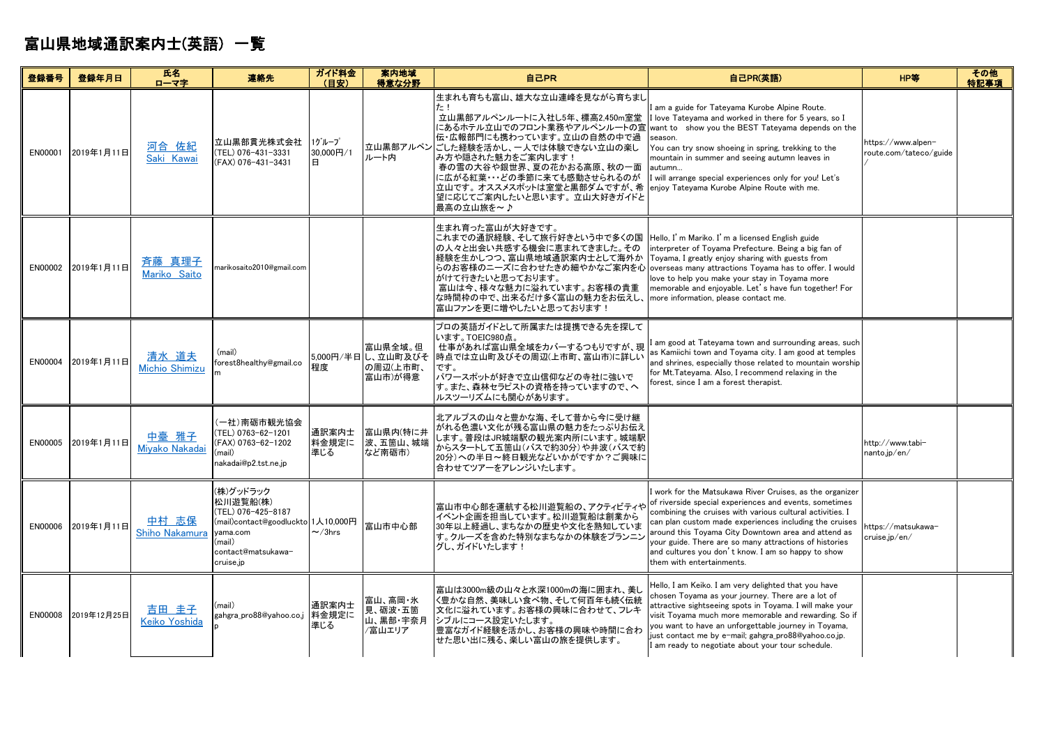## 富山県地域通訳案内士(英語) 一覧

| 登録番号    | 登録年月日               | 氏名<br>ローマ字                            | 連絡先                                                                                                                                        | ガイド料金<br>(目安)            | 案内地域<br>得意な分野                            | 自己PR                                                                                                                                                                                                                                                                                                                                                                             | 自己PR(英語)                                                                                                                                                                                                                                                                                                                                                                                            | HP等                                          | その他<br>特記事項 |
|---------|---------------------|---------------------------------------|--------------------------------------------------------------------------------------------------------------------------------------------|--------------------------|------------------------------------------|----------------------------------------------------------------------------------------------------------------------------------------------------------------------------------------------------------------------------------------------------------------------------------------------------------------------------------------------------------------------------------|-----------------------------------------------------------------------------------------------------------------------------------------------------------------------------------------------------------------------------------------------------------------------------------------------------------------------------------------------------------------------------------------------------|----------------------------------------------|-------------|
| EN00001 | 2019年1月11日          | <u>河合 佐紀</u><br>Saki Kawai            | 立山黒部貫光株式会社<br>(TEL) 076-431-3331<br>(FAX) 076-431-3431                                                                                     | 1グループ<br>30,000円/1<br>Η. | ルート内                                     | 生まれも育ちも富山、雄大な立山連峰を見ながら育ちまし<br>た!<br>立山黒部アルペンルートに入社し5年、標高2,450m室堂  I love Tateyama and worked in there for 5 years, so I<br>にあるホテル立山でのフロント業務やアルペンルートの宣<br>伝・広報部門にも携わっています。立山の自然の中で過<br>立山黒部アルペンごした経験を活かし、一人では体験できない立山の楽し<br>み方や隠された魅力をご案内します!<br>春の雪の大谷や銀世界、夏の花かおる高原、秋の一面<br> に広がる紅葉・・・どの季節に来ても感動させられるのが<br>立山です。オススメスポットは室堂と黒部ダムですが、希<br>望に応じてご案内したいと思います。立山大好きガイドと<br>最高の立山旅を~♪ | I am a guide for Tateyama Kurobe Alpine Route.<br>want to show you the BEST Tateyama depends on the<br>season.<br>You can try snow shoeing in spring, trekking to the<br>mountain in summer and seeing autumn leaves in<br>autumn<br>I will arrange special experiences only for you! Let's<br>enjoy Tateyama Kurobe Alpine Route with me.                                                          | https://www.alpen-<br>route.com/tateco/guide |             |
|         | EN00002 2019年1月11日  | <u>斉藤 真理子</u><br>Mariko Saito         | marikosaito2010@gmail.com                                                                                                                  |                          |                                          | 生まれ育った富山が大好きです。<br>これまでの通訳経験、そして旅行好きという中で多くの国<br>の人々と出会い共感する機会に恵まれてきました。その<br>経験を生かしつつ、富山県地域通訳案内士として海外か<br> らのお客様のニーズに合わせたきめ細やかなご案内を心  overseas many attractions Toyama has to offer. I would<br>がけて行きたいと思っております。<br>富山は今、様々な魅力に溢れています。お客様の貴重<br>な時間枠の中で、出来るだけ多く富山の魅力をお伝えし<br>富山ファンを更に増やしたいと思っております!                                                                             | Hello, I'm Mariko. I'm a licensed English guide<br>interpreter of Toyama Prefecture. Being a big fan of<br>Toyama, I greatly enjoy sharing with guests from<br>love to help you make your stay in Toyama more<br>memorable and enjoyable. Let's have fun together! For<br>more information, please contact me.                                                                                      |                                              |             |
|         | EN00004 2019年1月11日  | <u>清水 道夫</u><br><b>Michio Shimizu</b> | (mail)<br>forest8healthy@gmail.co                                                                                                          | 程度                       | 富山県全域。但<br>の周辺(上市町、<br>富山市)が得意           | プロの英語ガイドとして所属または提携できる先を探して<br>います。TOEIC980点。<br>5,000円/半日 し、立山町及びそ  時点では立山町及びその周辺(上市町、富山市)に詳しい<br>です。<br>パワースポットが好きで立山信仰などの寺社に強いで<br>す。また、森林セラピストの資格を持っていますので、へ<br>ルスツーリズムにも関心があります。                                                                                                                                                                                             | as Kamiichi town and Toyama city. I am good at temples<br>and shrines, especially those related to mountain worship<br>for Mt. Tateyama. Also, I recommend relaxing in the<br>forest, since I am a forest therapist.                                                                                                                                                                                |                                              |             |
|         | EN00005 2019年1月11日  | 中臺 雅子<br>Miyako Nakadai               | (一社)南砺市観光協会<br>(TEL) 0763-62-1201<br>(FAX) 0763-62-1202<br>mail)<br>nakadai@p2.tst.ne.jp                                                   | 通訳案内士<br>料金規定に<br>準じる    | 富山県内(特に井<br>波、五箇山、城端<br>など南砺市)           | 北アルプスの山々と豊かな海、そして昔から今に受け継<br>がれる色濃い文化が残る富山県の魅力をたっぷりお伝え<br>します。普段はJR城端駅の観光案内所にいます。城端駅<br>からスタートして五箇山(バスで約30分)や井波(バスで約<br>20分)への半日~終日観光などいかがですか?ご興味に<br>合わせてツアーをアレンジいたします。                                                                                                                                                                                                         |                                                                                                                                                                                                                                                                                                                                                                                                     | http://www.tabi-<br>nanto.jp/en/             |             |
|         | EN00006 2019年1月11日  | 中村 志保<br>Shiho Nakamura               | (株)グッドラック<br>松川遊覧船(株)<br>(TEL) 076-425-8187<br>(mail)contact@goodluckto 1人10,000円<br>yama.com<br>(mail)<br>contact@matsukawa-<br>cruise.jp | $\sim$ /3hrs             | 富山市中心部                                   | 富山市中心部を運航する松川遊覧船の、アクティビティや  <sup>of</sup> riverside special experiences and events, sometimes<br>イベント企画を担当しています。松川遊覧船は創業から<br>30年以上経過し、まちなかの歴史や文化を熟知していま<br>す。クルーズを含めた特別なまちなかの体験をプランニン<br>グし、ガイドいたします!                                                                                                                                                                           | I work for the Matsukawa River Cruises, as the organizer<br>combining the cruises with various cultural activities. I<br>can plan custom made experiences including the cruises<br>around this Toyama City Downtown area and attend as<br>your guide. There are so many attractions of histories<br>and cultures you don't know. I am so happy to show<br>them with entertainments.                 | https://matsukawa-<br>cruise.jp/en/          |             |
|         | EN00008 2019年12月25日 | <u> 吉田 圭子</u><br><b>Keiko Yoshida</b> | (mail)<br>gahgra pro88@vahoo.co.i                                                                                                          | 通訳案内士<br>料金規定に<br>準じる    | 富山、高岡·氷<br>見、砺波·五箇<br>山、黒部・宇奈月<br>/富山エリア | 富山は3000m級の山々と水深1000mの海に囲まれ、美し<br>く豊かな自然、美味しい食べ物、そして何百年も続く伝統<br>文化に溢れています。お客様の興味に合わせて、フレキ<br>シブルにコース設定いたします。<br>豊富なガイド経験を活かし、お客様の興味や時間に合わ<br>せた思い出に残る、楽しい富山の旅を提供します。                                                                                                                                                                                                              | Hello, I am Keiko. I am very delighted that you have<br>chosen Toyama as your journey. There are a lot of<br>attractive sightseeing spots in Toyama. I will make your<br>visit Toyama much more memorable and rewarding. So if<br>you want to have an unforgettable journey in Toyama,<br>just contact me by e-mail; gahgra_pro88@yahoo.co.jp.<br>I am ready to negotiate about your tour schedule. |                                              |             |